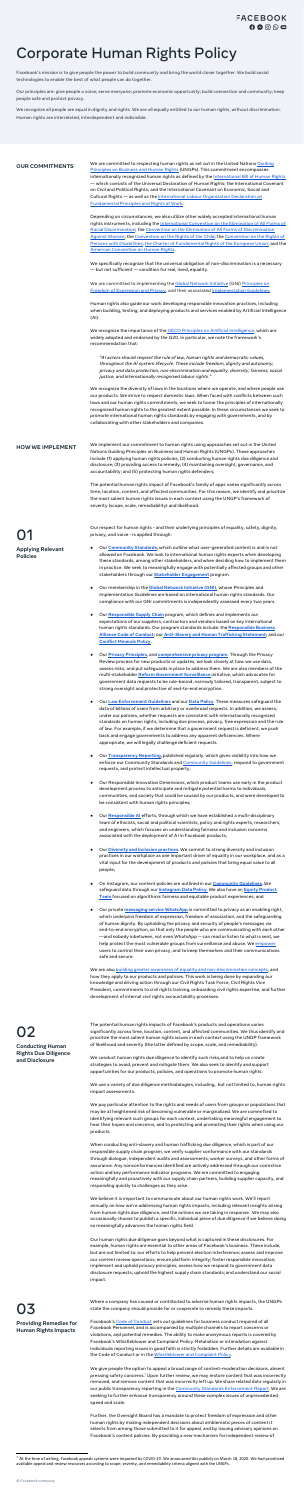## Corporate Human Rights Policy

Facebook's mission is to give people the power to build community and bring the world closer together. We build social technologies to enable the best of what people can do together.

Our principles are: give people a voice; serve everyone; promote economic opportunity; build connection and community; keep people safe and protect privacy.

We recognize all people are equal in dignity and rights. We are all equally entitled to our human rights, without discrimination. Human rights are interrelated, interdependent and indivisible.

We are committed to implementing the Global [Network](https://globalnetworkinitiative.org/) Initiative (GNI) [Principles](https://globalnetworkinitiative.org/gni-principles/) on Freedom of [Expression](https://globalnetworkinitiative.org/gni-principles/) and Privacy, and their associated [Implementation](https://globalnetworkinitiative.org/implementation-guidelines/) Guidelines.

**OUR COMMITMENTS** We are committed to respecting human rights as set out in the United Nations [Guiding](https://www.ohchr.org/documents/publications/guidingprinciplesbusinesshr_en.pdf) [Principles](https://www.ohchr.org/documents/publications/guidingprinciplesbusinesshr_en.pdf) on Business and Human Rights (UNGPs). This commitment encompasses internationally recognized human rights as defined by the [International](https://www.ohchr.org/documents/publications/compilation1.1en.pdf) Bill of Human Rights — which consists of the Universal Declaration of Human Rights; the International Covenant on Civil and Political Rights; and the International Covenant on Economic, Social and Cultural Rights - as well as the International Labour [Organization](https://www.ilo.org/declaration/lang--en/index.htm) Declaration on [Fundamental](https://www.ilo.org/declaration/lang--en/index.htm) Principles and Rights at Work.

> We recognize the importance of the OECD Principles on Artificial [Intelligence](https://www.oecd.org/going-digital/ai/principles/), [which](https://www.oecd.org/going-digital/ai/principles/) are widely adopted and [endorsed](https://www.oecd.org/going-digital/ai/principles/) by the G20. In particular, we note the framework's recommendation that:

Depending on circumstances, we also utilize other widely accepted international human rights instruments, including the [International](https://www.ohchr.org/en/professionalinterest/pages/cerd.aspx) Convention on the Elimination of All Forms of Racial [Discrimination](https://www.ohchr.org/en/professionalinterest/pages/cerd.aspx); the Convention on the Elimination of All Forms of [Discrimination](https://www.ohchr.org/EN/ProfessionalInterest/Pages/CEDAW.aspx) Against [Women](https://www.ohchr.org/EN/ProfessionalInterest/Pages/CEDAW.aspx); the [Convention](https://www.ohchr.org/EN/ProfessionalInterest/Pages/CRC.aspx) on the Rights of the Child; the [Convention](https://www.ohchr.org/EN/HRBodies/CRPD/Pages/ConventionRightsPersonsWithDisabilities.aspx) on the Rights of Persons with [Disabilities;](https://www.ohchr.org/EN/HRBodies/CRPD/Pages/ConventionRightsPersonsWithDisabilities.aspx) the Charter of [Fundamental](https://eur-lex.europa.eu/legal-content/EN/TXT/HTML/?uri=CELEX:12012P/TXT&from=EN) Rights of the European Union; and the American [Convention](http://www.oas.org/dil/treaties_B-32_American_Convention_on_Human_Rights.htm) on Human Rights.

We specifically recognize that the universal obligation of non-discrimination is a necessary ― but not sufficient ― condition for real, lived, equality.

Human rights also guide our work developing responsible innovation practices, including when building, testing, and deploying products and services enabled by Artificial Intelligence (AI).

"AI actors should respect the rule of law, human rights and democratic values, throughout the AI system lifecycle. These include freedom, dignity and autonomy, privacy and data protection, non-discrimination and equality, diversity, fairness, social justice, and internationally recognised labour rights."

We recognize the diversity of laws in the locations where we operate, and where people use our products. We strive to respect domestic laws. When faced with conflicts between such laws and our human rights commitments, we seek to honor the principles of internationally recognized human rights to the greatest extent possible. In these circumstances we seek to promote international human rights standards by engaging with governments, and by collaborating with other stakeholders and companies.

**HOW WE IMPLEMENT** We implement our commitment to human rights using approaches set out in the United Nations Guiding Principles on Business and Human Rights (UNGPs). These approaches include (1) applying human rights policies; (2) conducting human rights due diligence and disclosure; (3) providing access to remedy; (4) maintaining oversight, governance, and accountability; and (5) protecting human rights defenders;

> The potential human rights impact of Facebook's family of apps varies significantly across time, location, content, and affected communities. For this reason, we identify and prioritize the most salient human rights issues in each context using the UNGP's framework of severity (scope, scale, remediability) and likelihood.

# 01

**Applying Relevant Policies**

> We are also building greater awareness of equality and [non-discrimination](https://about.fb.com/news/tag/civil-rights/) concepts, and how they apply to our products and policies. This work is being done by expanding our knowledge and driving action through our Civil Rights Task Force, Civil Rights Vice President, commitments to civil rights training, onboarding civil rights expertise, and further development of internal civil rights accountability processes.

- Our respect for human rights and their underlying principles of equality, safety, dignity, privacy, and voice - is applied through:
- Our **[Community](https://www.facebook.com/communitystandards/) Standards,** which outline what user-generated content is and is not allowed on Facebook. We look to international human rights experts when developing these standards, among other stakeholders, and when deciding how to implement them in practice. We seek to meaningfully engage with potentially affected groups and other stakeholders through our **Stakeholder [Engagement](https://www.facebook.com/communitystandards/stakeholder_engagement)** program.
- Our membership in the **Global Network [Initiative](https://globalnetworkinitiative.org/) (GNI)**, whose Principles and Implementation Guidelines are based on international human rights standards. Our compliance with our GNI commitments is independently assessed every two years.
- Our **[Responsible](https://sustainability.fb.com/collaboration-for-good/supply-chain/) Supply Chain** program, which defines and implements our expectations of our suppliers, contractors and vendors based on key international human rights standards. Our program standards include: the **[Responsible](http://www.responsiblebusiness.org/code-of-conduct/) Business Alliance Code of [Conduct](http://www.responsiblebusiness.org/code-of-conduct/)**; our **[Anti-Slavery](https://s21.q4cdn.com/399680738/files/doc_downloads/2020/06/2020-Facebook) and Human Trafficking Statement;** and our **Conflict [Minerals](https://investor.fb.com/corporate-governance/Conflict-Minerals-Policy/default.aspx) Policy.**
- Our **Privacy [Principles](https://www.facebook.com/about/basics/privacy-principles),** and **[comprehensive](https://about.fb.com/news/2020/04/final-ftc-agreement/) privacy program**. Through the Privacy Review process for new products or updates, we look closely at how we use data, assess risks, and put safeguards in place to address them. We are also members of the multi-stakeholder **Reform [Government](https://www.reformgovernmentsurveillance.com/) Surveillance** initiative, which advocates for government data requests to be rule-bound, narrowly tailored, transparent, subject to strong oversight and protective of end-to-end encryption.
- Our **Law [Enforcement](https://www.facebook.com/safety/groups/law/guidelines/) Guidelines** and our **Data [Policy](https://www.facebook.com/policy.php)**. These measures safeguard the data of billions of users from arbitrary or overbroad requests. In addition, we assess, under our policies, whether requests are consistent with internationally recognized standards on human rights, including due process, privacy, free expression and the rule of law. For example, if we determine that a government request is deficient, we push back and engage governments to address any apparent deficiencies. Where appropriate, we will legally challenge deficient requests.
- Our **[Transparency](https://transparency.facebook.com/) Reporting,** published regularly, which gives visibility into how we enforce our [Community](https://www.facebook.com/help/instagram/477434105621119) Standards and **Community Guidelines**, respond to government requests, and protect intellectual property;
- Our Responsible Innovation Dimensions, which product teams use early in the product development process to anticipate and mitigate potential harms to individuals, communities, and society that could be caused by our products, and were developed to be consistent with human rights principles;
- Our **[Responsible](https://ai.facebook.com/blog/collaborating-on-the-future-of-ai-governance-in-the-eu-and-around-the-world/) AI** efforts, through which we have established a multi-disciplinary team of ethicists, social and political scientists, policy and rights experts, researchers, and engineers, which focuses on understanding fairness and inclusion concerns associated with the deployment of AI in Facebook products;
- Our **[Diversity](https://diversity.fb.com/) and Inclusion practices.** We commit to strong diversity and inclusion practices in our workplace as one important driver of equality in our workplace, and as a vital input for the development of products and policies that bring equal value to all people;
- On Instagram, our content policies are outlined in our **[Community](https://help.instagram.com/477434105621119) Guidelines.** We safeguard data through our **[Instagram](https://help.instagram.com/519522125107875/) Data Policy.** We also have an **Equity [Product](https://about.instagram.com/blog/announcements/updates-on-our-equity-work)**

**[Team](https://about.instagram.com/blog/announcements/updates-on-our-equity-work)** focused on algorithmic fairness and equitable product experiences; and

● Our private **[messaging](https://faq.whatsapp.com/general/security-and-privacy/end-to-end-encryption/?lang=en) service WhatsApp** is committed to privacy as an enabling right, which underpins freedom of expression, freedom of association, and the safeguarding of human dignity. By upholding the privacy and security of people's messages via end-to-end encryption, so that only the people who are communicating with each other ―and nobody inbetween, not even WhatsApp -- can read or listen to what is sent, we help protect the most vulnerable groups from surveillance and abuse. We [empower](https://faq.whatsapp.com/general/security-and-privacy/how-to-change-group-privacy-settings) users to control their own privacy, and to keep themselves and their communications safe and secure.

02 **Conducting Human Rights Due Diligence**

**and Disclosure**

The potential human rights impacts of Facebook's products and operations varies significantly across time, location, content, and affected communities. We thus identify and prioritize the most salient human rights issues in each context using the UNGP framework of likelihood and severity (the latter defined by scope, scale, and remediability).

We conduct human rights due diligence to identify such risks,and to help us create strategies to avoid, prevent and mitigate them. We also seek to identify and support opportunities for our products, policies, and operations to promote human rights.

We use a variety of due diligence methodologies, including, but not limited to, human rights impact assessments.

We pay particular attention to the rights and needs of users from groups or populations that may be at heightened risk of becoming vulnerable or marginalized. We are committed to identifying relevant such groups for each context, undertaking meaningful engagement to hear their hopes and concerns, and to protecting and promoting their rights when using our products.

When conducting anti-slavery and human trafficking due diligence, which is part of our responsible supply chain program, we verify supplier conformance with our standards through dialogue, independent audits and assessments, worker surveys, and other forms of assurance. Any nonconformances identified are actively addressed through our corrective action and key performance indicator programs. We are committed to engaging meaningfully and proactively with our supply chain partners, building supplier capacity, and responding quickly to challenges as they arise.

We believe it is important to communicate about our human rights work. We'll report annually on how we're addressing human rights impacts, including relevant insights arising from human rights due diligence, and the actions we are taking in response. We may also occasionally choose to publish a specific, individual piece of due diligence if we believe doing so meaningfully advances the human rights field.

Our human rights due diligence goes beyond what is captured in these disclosures. For example, human rights are essential to other areas of Facebook's business. These include, but are not limited to: our efforts to help prevent election interference; assess and improve our content review operations; ensure platform integrity; foster responsible innovation; implement and uphold privacy principles; assess how we respond to government data disclosure requests; uphold the highest supply chain standards; and understand our social impact.

### 03 **Providing Remedies for Human Rights Impacts**

Where a company has caused or contributed to adverse human rights impacts, the UNGPs state the company should provide for or cooperate to remedy these impacts.

Facebook's Code of [Conduct](https://investor.fb.com/corporate-governance/code-of-conduct/default.aspx) sets out guidelines for business conduct required of all Facebook Personnel, and is accompanied by multiple channels to report concerns or violations, and potential remedies. The ability to make anonymous reports is covered by Facebook's Whistleblower and Complaint Policy. Retaliation or intimidation against individuals reporting issues in good faith is strictly forbidden. Further details are available in the Code of Conduct or in the [Whistleblower](https://about.fb.com/people-practices/harassment-policy/) and Complaint Policy.

We give people the option to appeal a broad range of content-moderation decisions, absent pressing safety concerns.<sup>1</sup> Upon further review, we may restore content that was incorrectly removed, and remove content that was incorrectly left up. We share related data regularly in our public transparency reporting in the Community Standards [Enforcement](https://transparency.facebook.com/community-standards-enforcement) Report. We are seeking to further enhance transparency around these complex issues of unprecedented speed and scale.

Further, the Oversight Board has a mandate to protect freedom of expression and other human rights by making independent decisions about emblematic pieces of content it selects from among those submitted to it for appeal, and by issuing advisory opinions on Facebook's content policies. By providing a new mechanism for independent review of

 $1$  At the time of writing, Facebook appeals systems were impacted by COVID-19. We announced this publicly on March 18, 2020. We had prioritized available appeal and review resources according to scope, severity, and remediability criteria aligned with the UNGPs.